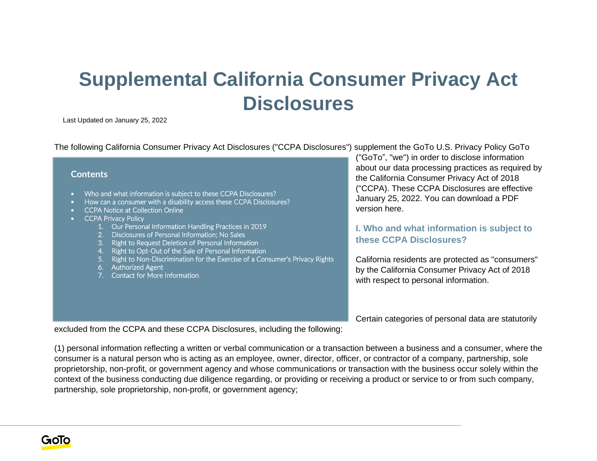# **Supplemental California Consumer Privacy Act Disclosures**

Last Updated on January 25, 2022

The following California Consumer Privacy Act Disclosures ("CCPA Disclosures") supplement the GoTo U.S. Privacy Policy GoTo

#### **Contents**

- Who and what information is subject to these CCPA Disclosures?
- How can a consumer with a disability access these CCPA Disclosures?
- CCPA Notice at Collection Online
- CCPA Privacy Policy
	- 1. Our Personal Information Handling Practices in 2019
	- 2. Disclosures of Personal Information; No Sales
	- 3. Right to Request Deletion of Personal Information
	- 4. Right to Opt-Out of the Sale of Personal Information
	- 5. Right to Non-Discrimination for the Exercise of a Consumer's Privacy Rights
	- 6. Authorized Agent
	- 7. Contact for More Information

("GoTo", "we") in order to disclose information about our data processing practices as required by the California Consumer Privacy Act of 2018 ("CCPA). These CCPA Disclosures are effective January 25, 2022. You can download a PDF version here.

### **I. Who and what information is subject to these CCPA Disclosures?**

California residents are protected as "consumers" by the California Consumer Privacy Act of 2018 with respect to personal information.

Certain categories of personal data are statutorily

excluded from the CCPA and these CCPA Disclosures, including the following:

(1) personal information reflecting a written or verbal communication or a transaction between a business and a consumer, where the consumer is a natural person who is acting as an employee, owner, director, officer, or contractor of a company, partnership, sole proprietorship, non-profit, or government agency and whose communications or transaction with the business occur solely within the context of the business conducting due diligence regarding, or providing or receiving a product or service to or from such company, partnership, sole proprietorship, non-profit, or government agency;

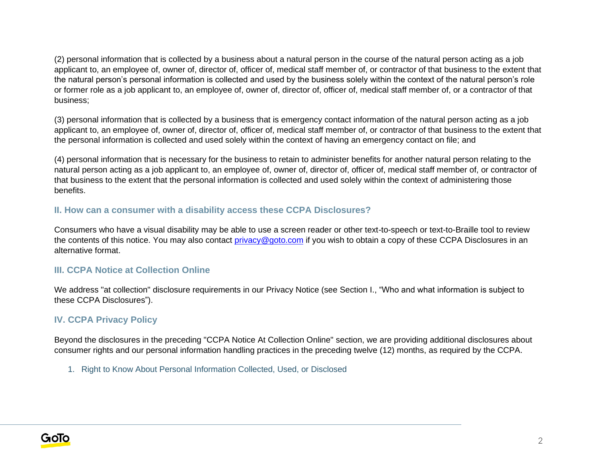(2) personal information that is collected by a business about a natural person in the course of the natural person acting as a job applicant to, an employee of, owner of, director of, officer of, medical staff member of, or contractor of that business to the extent that the natural person's personal information is collected and used by the business solely within the context of the natural person's role or former role as a job applicant to, an employee of, owner of, director of, officer of, medical staff member of, or a contractor of that business;

(3) personal information that is collected by a business that is emergency contact information of the natural person acting as a job applicant to, an employee of, owner of, director of, officer of, medical staff member of, or contractor of that business to the extent that the personal information is collected and used solely within the context of having an emergency contact on file; and

(4) personal information that is necessary for the business to retain to administer benefits for another natural person relating to the natural person acting as a job applicant to, an employee of, owner of, director of, officer of, medical staff member of, or contractor of that business to the extent that the personal information is collected and used solely within the context of administering those benefits.

## **II. How can a consumer with a disability access these CCPA Disclosures?**

Consumers who have a visual disability may be able to use a screen reader or other text-to-speech or text-to-Braille tool to review the contents of this notice. You may also contact [privacy@goto.com](mailto:privacy@goto.com) if you wish to obtain a copy of these CCPA Disclosures in an alternative format.

## **III. CCPA Notice at Collection Online**

We address "at collection" disclosure requirements in our Privacy Notice (see Section I., "Who and what information is subject to these CCPA Disclosures").

## **IV. CCPA Privacy Policy**

Beyond the disclosures in the preceding "CCPA Notice At Collection Online" section, we are providing additional disclosures about consumer rights and our personal information handling practices in the preceding twelve (12) months, as required by the CCPA.

1. Right to Know About Personal Information Collected, Used, or Disclosed

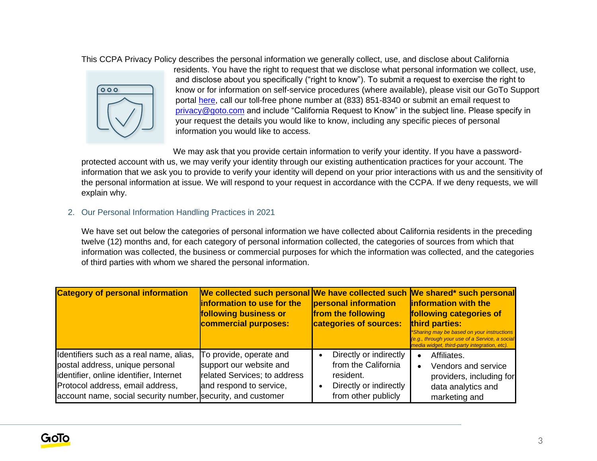This CCPA Privacy Policy describes the personal information we generally collect, use, and disclose about California



residents. You have the right to request that we disclose what personal information we collect, use, and disclose about you specifically ("right to know"). To submit a request to exercise the right to know or for information on self-service procedures (where available), please visit our GoTo Support portal [here,](https://support.goto.com/) call our toll-free phone number at (833) 851-8340 or submit an email request to [privacy@goto.com](mailto:privacy@goto.com) and include "California Request to Know" in the subject line. Please specify in your request the details you would like to know, including any specific pieces of personal information you would like to access.

We may ask that you provide certain information to verify your identity. If you have a passwordprotected account with us, we may verify your identity through our existing authentication practices for your account. The information that we ask you to provide to verify your identity will depend on your prior interactions with us and the sensitivity of the personal information at issue. We will respond to your request in accordance with the CCPA. If we deny requests, we will explain why.

#### 2. Our Personal Information Handling Practices in 2021

We have set out below the categories of personal information we have collected about California residents in the preceding twelve (12) months and, for each category of personal information collected, the categories of sources from which that information was collected, the business or commercial purposes for which the information was collected, and the categories of third parties with whom we shared the personal information.

| <b>Category of personal information</b>                                                                                                                                                                                   | We collected such personal We have collected such We shared* such personal<br>information to use for the<br>following business or<br>commercial purposes: | personal information<br>from the following<br>categories of sources:                                        | <b>Information with the</b><br>following categories of<br>third parties:<br>*Sharing may be based on your instructions<br>(e.g., through your use of a Service, a social<br>media widget, third-party integration, etc). |
|---------------------------------------------------------------------------------------------------------------------------------------------------------------------------------------------------------------------------|-----------------------------------------------------------------------------------------------------------------------------------------------------------|-------------------------------------------------------------------------------------------------------------|--------------------------------------------------------------------------------------------------------------------------------------------------------------------------------------------------------------------------|
| Identifiers such as a real name, alias,<br>postal address, unique personal<br>identifier, online identifier, Internet<br>Protocol address, email address,<br>account name, social security number, security, and customer | To provide, operate and<br>support our website and<br>related Services; to address<br>and respond to service,                                             | Directly or indirectly<br>from the California<br>resident.<br>Directly or indirectly<br>from other publicly | Affiliates.<br>Vendors and service<br>$\bullet$<br>providers, including for<br>data analytics and<br>marketing and                                                                                                       |

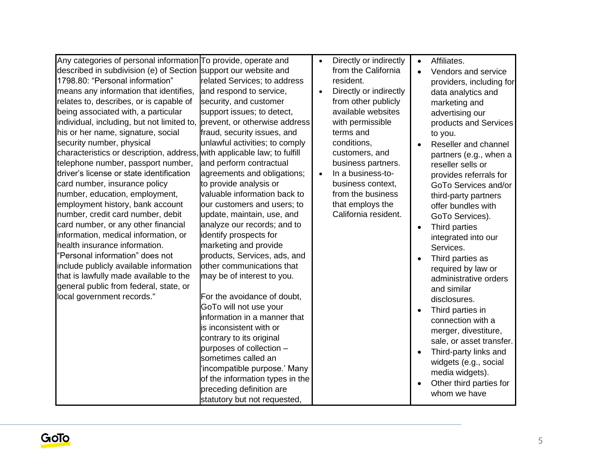| Any categories of personal information To provide, operate and  |                                 | $\bullet$ | Directly or indirectly | $\bullet$ | Affiliates.              |
|-----------------------------------------------------------------|---------------------------------|-----------|------------------------|-----------|--------------------------|
| described in subdivision (e) of Section support our website and |                                 |           | from the California    | $\bullet$ | Vendors and service      |
| 1798.80: "Personal information"                                 | related Services; to address    |           | resident.              |           | providers, including for |
| means any information that identifies,                          | and respond to service,         | $\bullet$ | Directly or indirectly |           | data analytics and       |
| relates to, describes, or is capable of                         | security, and customer          |           | from other publicly    |           | marketing and            |
| being associated with, a particular                             | support issues; to detect,      |           | available websites     |           | advertising our          |
| individual, including, but not limited to,                      | prevent, or otherwise address   |           | with permissible       |           | products and Services    |
| his or her name, signature, social                              | fraud, security issues, and     |           | terms and              |           | to you.                  |
| security number, physical                                       | unlawful activities; to comply  |           | conditions,            | $\bullet$ | Reseller and channel     |
| characteristics or description, address,                        | with applicable law; to fulfill |           | customers, and         |           | partners (e.g., when a   |
| telephone number, passport number,                              | and perform contractual         |           | business partners.     |           | reseller sells or        |
| driver's license or state identification                        | agreements and obligations;     | $\bullet$ | In a business-to-      |           | provides referrals for   |
| card number, insurance policy                                   | to provide analysis or          |           | business context,      |           | GoTo Services and/or     |
| number, education, employment,                                  | valuable information back to    |           | from the business      |           | third-party partners     |
| employment history, bank account                                | our customers and users; to     |           | that employs the       |           | offer bundles with       |
| number, credit card number, debit                               | update, maintain, use, and      |           | California resident.   |           | GoTo Services).          |
| card number, or any other financial                             | analyze our records; and to     |           |                        | $\bullet$ | Third parties            |
| information, medical information, or                            | identify prospects for          |           |                        |           | integrated into our      |
| health insurance information.                                   | marketing and provide           |           |                        |           | Services.                |
| "Personal information" does not                                 | products, Services, ads, and    |           |                        | $\bullet$ | Third parties as         |
| include publicly available information                          | other communications that       |           |                        |           | required by law or       |
| that is lawfully made available to the                          | may be of interest to you.      |           |                        |           | administrative orders    |
| general public from federal, state, or                          |                                 |           |                        |           | and similar              |
| local government records."                                      | For the avoidance of doubt,     |           |                        |           | disclosures.             |
|                                                                 | GoTo will not use your          |           |                        |           | Third parties in         |
|                                                                 | information in a manner that    |           |                        |           | connection with a        |
|                                                                 | is inconsistent with or         |           |                        |           | merger, divestiture,     |
|                                                                 | contrary to its original        |           |                        |           | sale, or asset transfer. |
|                                                                 | purposes of collection -        |           |                        | $\bullet$ | Third-party links and    |
|                                                                 | sometimes called an             |           |                        |           | widgets (e.g., social    |
|                                                                 | 'incompatible purpose.' Many    |           |                        |           | media widgets).          |
|                                                                 | of the information types in the |           |                        |           | Other third parties for  |
|                                                                 | preceding definition are        |           |                        |           | whom we have             |
|                                                                 | statutory but not requested,    |           |                        |           |                          |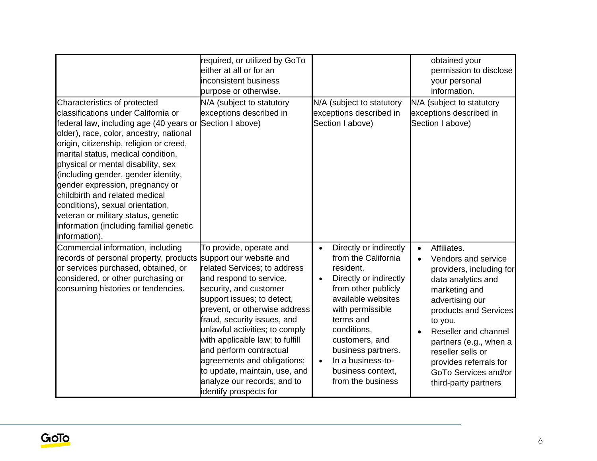|                                                                                                                                                                                                                                                                                                                                                                                                                                                                                                                                     | required, or utilized by GoTo<br>either at all or for an<br>inconsistent business<br>purpose or otherwise.                                                                                                                                                                                                                                                                                                                                                     |                                                                                                                                                                                                                                                                                                       | obtained your<br>permission to disclose<br>your personal<br>information.                                                                                                                                                                                                                                                   |
|-------------------------------------------------------------------------------------------------------------------------------------------------------------------------------------------------------------------------------------------------------------------------------------------------------------------------------------------------------------------------------------------------------------------------------------------------------------------------------------------------------------------------------------|----------------------------------------------------------------------------------------------------------------------------------------------------------------------------------------------------------------------------------------------------------------------------------------------------------------------------------------------------------------------------------------------------------------------------------------------------------------|-------------------------------------------------------------------------------------------------------------------------------------------------------------------------------------------------------------------------------------------------------------------------------------------------------|----------------------------------------------------------------------------------------------------------------------------------------------------------------------------------------------------------------------------------------------------------------------------------------------------------------------------|
| Characteristics of protected<br>classifications under California or<br>federal law, including age (40 years or<br>older), race, color, ancestry, national<br>origin, citizenship, religion or creed,<br>marital status, medical condition,<br>physical or mental disability, sex<br>(including gender, gender identity,<br>gender expression, pregnancy or<br>childbirth and related medical<br>conditions), sexual orientation,<br>veteran or military status, genetic<br>information (including familial genetic<br>information). | N/A (subject to statutory<br>exceptions described in<br>Section I above)                                                                                                                                                                                                                                                                                                                                                                                       | N/A (subject to statutory<br>exceptions described in<br>Section I above)                                                                                                                                                                                                                              | N/A (subject to statutory<br>exceptions described in<br>Section I above)                                                                                                                                                                                                                                                   |
| Commercial information, including<br>records of personal property, products<br>or services purchased, obtained, or<br>considered, or other purchasing or<br>consuming histories or tendencies.                                                                                                                                                                                                                                                                                                                                      | To provide, operate and<br>support our website and<br>related Services; to address<br>and respond to service,<br>security, and customer<br>support issues; to detect,<br>prevent, or otherwise address<br>fraud, security issues, and<br>unlawful activities; to comply<br>with applicable law; to fulfill<br>and perform contractual<br>agreements and obligations;<br>to update, maintain, use, and<br>analyze our records; and to<br>identify prospects for | Directly or indirectly<br>$\bullet$<br>from the California<br>resident.<br>Directly or indirectly<br>from other publicly<br>available websites<br>with permissible<br>terms and<br>conditions,<br>customers, and<br>business partners.<br>In a business-to-<br>business context,<br>from the business | Affiliates.<br>$\bullet$<br>Vendors and service<br>providers, including for<br>data analytics and<br>marketing and<br>advertising our<br>products and Services<br>to you.<br>Reseller and channel<br>partners (e.g., when a<br>reseller sells or<br>provides referrals for<br>GoTo Services and/or<br>third-party partners |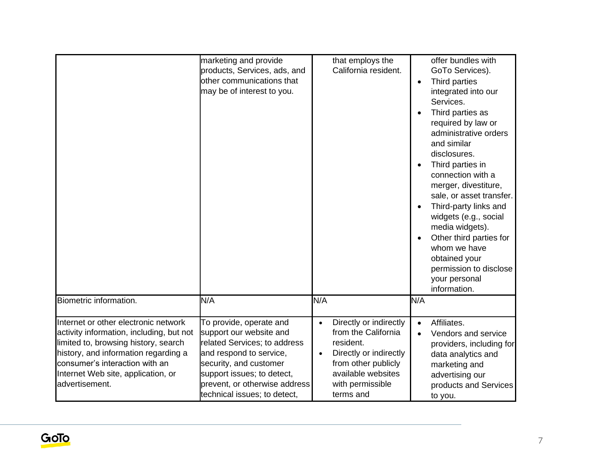|                                                                                                                                                                                                                                                            | marketing and provide<br>products, Services, ads, and                                                                                                                                                                                  | that employs the<br>California resident.                                                                                                                                        |           | offer bundles with<br>GoTo Services).                                                                                                                                                                                                                                                                                                                                                                                        |
|------------------------------------------------------------------------------------------------------------------------------------------------------------------------------------------------------------------------------------------------------------|----------------------------------------------------------------------------------------------------------------------------------------------------------------------------------------------------------------------------------------|---------------------------------------------------------------------------------------------------------------------------------------------------------------------------------|-----------|------------------------------------------------------------------------------------------------------------------------------------------------------------------------------------------------------------------------------------------------------------------------------------------------------------------------------------------------------------------------------------------------------------------------------|
|                                                                                                                                                                                                                                                            | other communications that<br>may be of interest to you.                                                                                                                                                                                |                                                                                                                                                                                 | $\bullet$ | Third parties<br>integrated into our<br>Services.<br>Third parties as<br>required by law or<br>administrative orders<br>and similar<br>disclosures.<br>Third parties in<br>connection with a<br>merger, divestiture,<br>sale, or asset transfer.<br>Third-party links and<br>widgets (e.g., social<br>media widgets).<br>Other third parties for<br>whom we have<br>obtained your<br>permission to disclose<br>your personal |
| Biometric information.                                                                                                                                                                                                                                     | N/A                                                                                                                                                                                                                                    | N/A                                                                                                                                                                             | N/A       | information.                                                                                                                                                                                                                                                                                                                                                                                                                 |
| Internet or other electronic network<br>activity information, including, but not<br>limited to, browsing history, search<br>history, and information regarding a<br>consumer's interaction with an<br>Internet Web site, application, or<br>advertisement. | To provide, operate and<br>support our website and<br>related Services; to address<br>and respond to service,<br>security, and customer<br>support issues; to detect,<br>prevent, or otherwise address<br>technical issues; to detect, | Directly or indirectly<br>$\bullet$<br>from the California<br>resident.<br>Directly or indirectly<br>from other publicly<br>available websites<br>with permissible<br>terms and | $\bullet$ | Affiliates.<br>Vendors and service<br>providers, including for<br>data analytics and<br>marketing and<br>advertising our<br>products and Services<br>to you.                                                                                                                                                                                                                                                                 |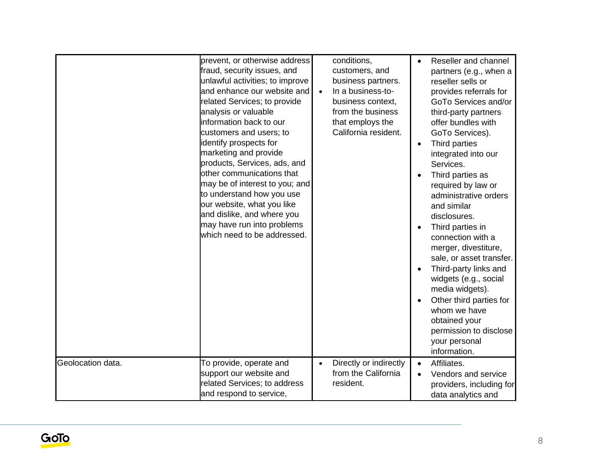|                   | prevent, or otherwise address<br>fraud, security issues, and<br>unlawful activities; to improve<br>and enhance our website and<br>related Services; to provide<br>analysis or valuable<br>information back to our<br>customers and users; to<br>identify prospects for<br>marketing and provide<br>products, Services, ads, and<br>other communications that<br>may be of interest to you; and<br>to understand how you use<br>our website, what you like<br>and dislike, and where you<br>may have run into problems<br>which need to be addressed. | conditions,<br>customers, and<br>business partners.<br>In a business-to-<br>$\bullet$<br>business context,<br>from the business<br>that employs the<br>California resident. | $\bullet$<br>$\bullet$<br>$\bullet$<br>$\bullet$<br>$\bullet$<br>$\bullet$ | Reseller and channel<br>partners (e.g., when a<br>reseller sells or<br>provides referrals for<br>GoTo Services and/or<br>third-party partners<br>offer bundles with<br>GoTo Services).<br>Third parties<br>integrated into our<br>Services.<br>Third parties as<br>required by law or<br>administrative orders<br>and similar<br>disclosures.<br>Third parties in<br>connection with a<br>merger, divestiture,<br>sale, or asset transfer.<br>Third-party links and<br>widgets (e.g., social<br>media widgets).<br>Other third parties for<br>whom we have<br>obtained your<br>permission to disclose<br>your personal<br>information. |
|-------------------|------------------------------------------------------------------------------------------------------------------------------------------------------------------------------------------------------------------------------------------------------------------------------------------------------------------------------------------------------------------------------------------------------------------------------------------------------------------------------------------------------------------------------------------------------|-----------------------------------------------------------------------------------------------------------------------------------------------------------------------------|----------------------------------------------------------------------------|----------------------------------------------------------------------------------------------------------------------------------------------------------------------------------------------------------------------------------------------------------------------------------------------------------------------------------------------------------------------------------------------------------------------------------------------------------------------------------------------------------------------------------------------------------------------------------------------------------------------------------------|
| Geolocation data. | To provide, operate and<br>support our website and<br>related Services; to address<br>and respond to service,                                                                                                                                                                                                                                                                                                                                                                                                                                        | Directly or indirectly<br>$\bullet$<br>from the California<br>resident.                                                                                                     | $\bullet$<br>$\bullet$                                                     | Affiliates.<br>Vendors and service<br>providers, including for<br>data analytics and                                                                                                                                                                                                                                                                                                                                                                                                                                                                                                                                                   |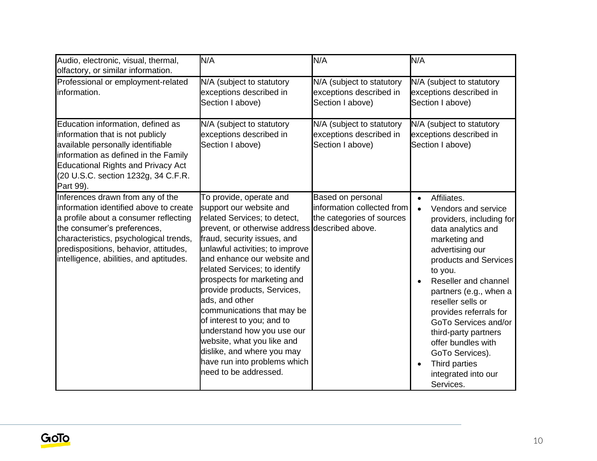| Audio, electronic, visual, thermal,<br>olfactory, or similar information.                                                                                                                                                                                                        | N/A                                                                                                                                                                                                                                                                                                                                                                                                                                                                                                                                                                   | N/A                                                                          | N/A                                                                                                                                                                                                                                                                                                                                                                                                                                   |
|----------------------------------------------------------------------------------------------------------------------------------------------------------------------------------------------------------------------------------------------------------------------------------|-----------------------------------------------------------------------------------------------------------------------------------------------------------------------------------------------------------------------------------------------------------------------------------------------------------------------------------------------------------------------------------------------------------------------------------------------------------------------------------------------------------------------------------------------------------------------|------------------------------------------------------------------------------|---------------------------------------------------------------------------------------------------------------------------------------------------------------------------------------------------------------------------------------------------------------------------------------------------------------------------------------------------------------------------------------------------------------------------------------|
| Professional or employment-related<br>information.                                                                                                                                                                                                                               | N/A (subject to statutory<br>exceptions described in<br>Section I above)                                                                                                                                                                                                                                                                                                                                                                                                                                                                                              | N/A (subject to statutory<br>exceptions described in<br>Section I above)     | N/A (subject to statutory<br>exceptions described in<br>Section I above)                                                                                                                                                                                                                                                                                                                                                              |
| Education information, defined as<br>information that is not publicly<br>available personally identifiable<br>information as defined in the Family<br><b>Educational Rights and Privacy Act</b><br>(20 U.S.C. section 1232g, 34 C.F.R.<br>Part 99).                              | N/A (subject to statutory<br>exceptions described in<br>Section I above)                                                                                                                                                                                                                                                                                                                                                                                                                                                                                              | N/A (subject to statutory<br>exceptions described in<br>Section I above)     | N/A (subject to statutory<br>exceptions described in<br>Section I above)                                                                                                                                                                                                                                                                                                                                                              |
| Inferences drawn from any of the<br>information identified above to create<br>a profile about a consumer reflecting<br>the consumer's preferences,<br>characteristics, psychological trends,<br>predispositions, behavior, attitudes,<br>intelligence, abilities, and aptitudes. | To provide, operate and<br>support our website and<br>related Services; to detect,<br>prevent, or otherwise address described above.<br>fraud, security issues, and<br>unlawful activities; to improve<br>and enhance our website and<br>related Services; to identify<br>prospects for marketing and<br>provide products, Services,<br>ads, and other<br>communications that may be<br>of interest to you; and to<br>understand how you use our<br>website, what you like and<br>dislike, and where you may<br>have run into problems which<br>need to be addressed. | Based on personal<br>information collected from<br>the categories of sources | Affiliates.<br>$\bullet$<br>Vendors and service<br>$\bullet$<br>providers, including for<br>data analytics and<br>marketing and<br>advertising our<br>products and Services<br>to you.<br>Reseller and channel<br>partners (e.g., when a<br>reseller sells or<br>provides referrals for<br>GoTo Services and/or<br>third-party partners<br>offer bundles with<br>GoTo Services).<br>Third parties<br>integrated into our<br>Services. |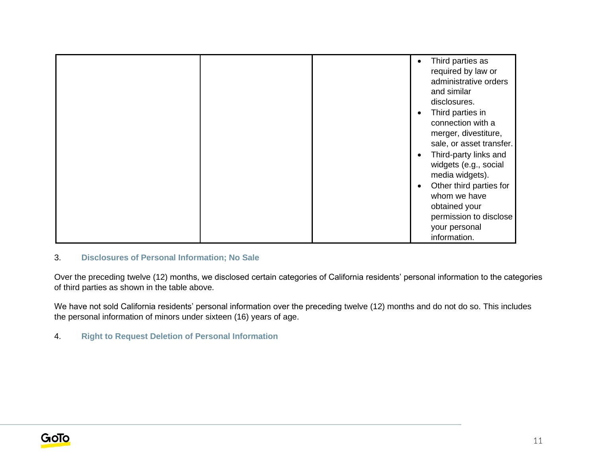|  | Third parties as<br>required by law or<br>administrative orders<br>and similar<br>disclosures.<br>Third parties in<br>connection with a<br>merger, divestiture,<br>sale, or asset transfer.<br>Third-party links and<br>widgets (e.g., social<br>media widgets).<br>Other third parties for<br>whom we have<br>obtained your |
|--|------------------------------------------------------------------------------------------------------------------------------------------------------------------------------------------------------------------------------------------------------------------------------------------------------------------------------|
|  | permission to disclose<br>your personal<br>information.                                                                                                                                                                                                                                                                      |

## 3. **Disclosures of Personal Information; No Sale**

Over the preceding twelve (12) months, we disclosed certain categories of California residents' personal information to the categories of third parties as shown in the table above.

We have not sold California residents' personal information over the preceding twelve (12) months and do not do so. This includes the personal information of minors under sixteen (16) years of age.

4. **Right to Request Deletion of Personal Information**

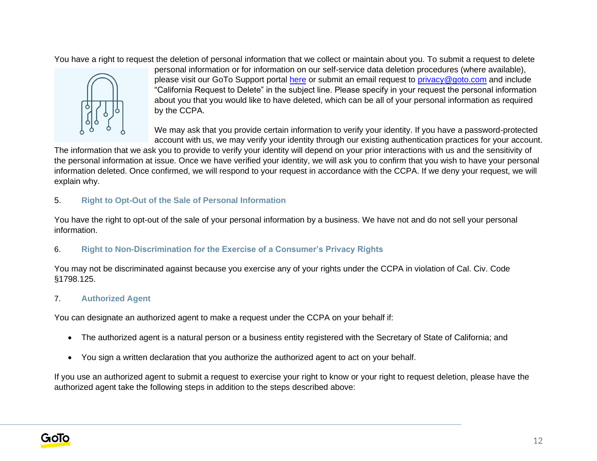You have a right to request the deletion of personal information that we collect or maintain about you. To submit a request to delete



personal information or for information on our self-service data deletion procedures (where available), please visit our GoTo Support portal [here](https://support.goto.com/) or submit an email request to [privacy@goto.com](mailto:privacy@goto.com) and include "California Request to Delete" in the subject line. Please specify in your request the personal information about you that you would like to have deleted, which can be all of your personal information as required by the CCPA.

We may ask that you provide certain information to verify your identity. If you have a password-protected account with us, we may verify your identity through our existing authentication practices for your account.

The information that we ask you to provide to verify your identity will depend on your prior interactions with us and the sensitivity of the personal information at issue. Once we have verified your identity, we will ask you to confirm that you wish to have your personal information deleted. Once confirmed, we will respond to your request in accordance with the CCPA. If we deny your request, we will explain why.

## 5. **Right to Opt-Out of the Sale of Personal Information**

You have the right to opt-out of the sale of your personal information by a business. We have not and do not sell your personal information.

## 6. **Right to Non-Discrimination for the Exercise of a Consumer's Privacy Rights**

You may not be discriminated against because you exercise any of your rights under the CCPA in violation of Cal. Civ. Code §1798.125.

## 7. **Authorized Agent**

You can designate an authorized agent to make a request under the CCPA on your behalf if:

- The authorized agent is a natural person or a business entity registered with the Secretary of State of California; and
- You sign a written declaration that you authorize the authorized agent to act on your behalf.

If you use an authorized agent to submit a request to exercise your right to know or your right to request deletion, please have the authorized agent take the following steps in addition to the steps described above: